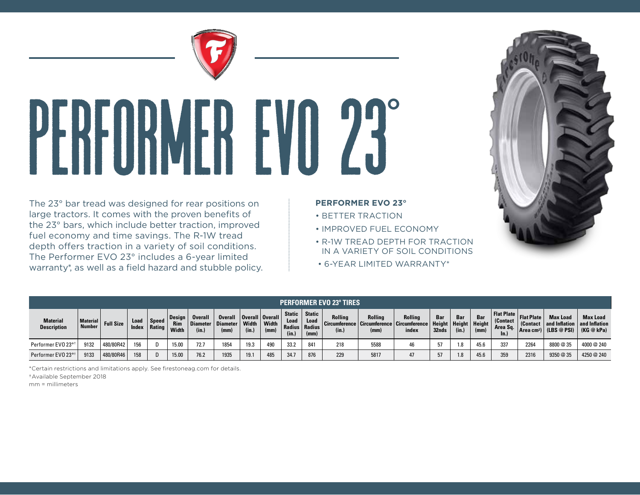

## Performer EVO 23**°**

The 23° bar tread was designed for rear positions on large tractors. It comes with the proven benefits of the 23° bars, which include better traction, improved fuel economy and time savings. The R-1W tread depth offers traction in a variety of soil conditions. The Performer EVO 23° includes a 6-year limited warranty\*, as well as a field hazard and stubble policy.

## **PERFORMER EVO 23°**

- BETTER TRACTION
- IMPROVED FUEL ECONOMY
- R-1W TREAD DEPTH FOR TRACTION IN A VARIETY OF SOIL CONDITIONS
- 6-YEAR LIMITED WARRANTY\*

| <b>PERFORMER EVO 23° TIRES</b>        |                                  |                  |               |                 |                                      |                         |                                                              |                |              |                                |                                                    |                                                                            |                 |                  |              |              |                                        |                                                                                   |                                    |                                                                      |                               |
|---------------------------------------|----------------------------------|------------------|---------------|-----------------|--------------------------------------|-------------------------|--------------------------------------------------------------|----------------|--------------|--------------------------------|----------------------------------------------------|----------------------------------------------------------------------------|-----------------|------------------|--------------|--------------|----------------------------------------|-----------------------------------------------------------------------------------|------------------------------------|----------------------------------------------------------------------|-------------------------------|
| <b>Material</b><br><b>Description</b> | <b>Material</b><br><b>Number</b> | <b>Full Size</b> | Load<br>Index | Speed<br>Rating | <b>Design</b><br><b>Rim</b><br>Width | <b>Overall</b><br>(in.) | Overall   Overall   Overall  <br>Diameter   Diameter<br>(mm) | Width<br>(in.) | Width<br>(mm | <b>Static</b><br>Load<br>(in.) | <b>Static</b><br>Load<br>Radius   Radius  <br>(mm) | Rolling<br>Circumference   Circumference   Circumference   Height<br>(in.) | Rolling<br>(mm) | Rolling<br>index | Bar<br>32nds | Bar<br>(in.) | $\blacksquare$ Height   Height<br>(mm) | <b>Example 2   Flat Plate   Flat Plate   Plate</b><br>(Contact<br>Area Sq.<br>ln. | (Contact<br>Area cm <sup>2</sup> ) | <b>Max Load</b><br>and Inflation   and Inflation<br>$'$ (LBS @ PSI), | <b>Max Load</b><br>(KG @ kPa) |
| Performer EVO 23° <sup>+</sup>        | 9132                             | 480/80R42        | 156           |                 | 15.00                                | 72.7                    | 1854                                                         | 19.3           | 490          | 33.2                           | 841                                                | 218                                                                        | 5588            | 46               |              | 1.8          | 45.6                                   | 337                                                                               | 2264                               | 8800 @ 35                                                            | 4000 @ 240                    |
| Performer EVO 23° <sup>1</sup>        | 9133                             | 480/80R46        | 158           | D               | 15.00                                | 76.2                    | 1935                                                         | 19.1           | 485          | 34.7                           | 876                                                | 229                                                                        | 5817            | 47               |              | 1.8          | 45.6                                   | 359                                                                               | 2316                               | 9350 @ 35                                                            | 4250 @ 240                    |

\*Certain restrictions and limitations apply. See firestoneag.com for details.

† Available September 2018

mm = millimeters